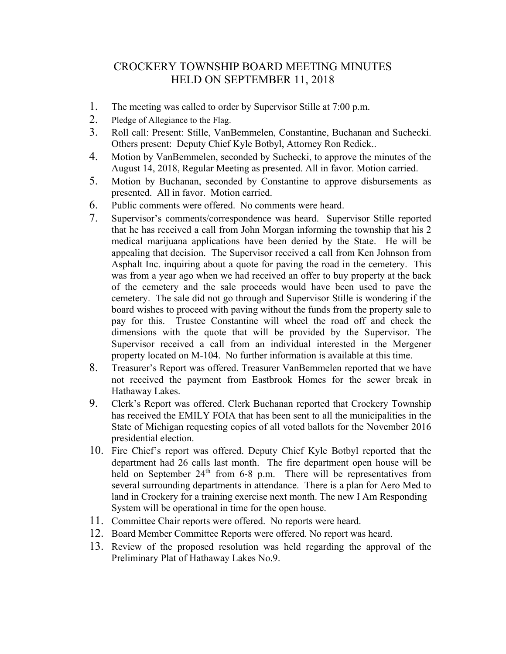## CROCKERY TOWNSHIP BOARD MEETING MINUTES HELD ON SEPTEMBER 11, 2018

- 1. The meeting was called to order by Supervisor Stille at 7:00 p.m.
- 2. Pledge of Allegiance to the Flag.
- 3. Roll call: Present: Stille, VanBemmelen, Constantine, Buchanan and Suchecki. Others present: Deputy Chief Kyle Botbyl, Attorney Ron Redick..
- 4. Motion by VanBemmelen, seconded by Suchecki, to approve the minutes of the August 14, 2018, Regular Meeting as presented. All in favor. Motion carried.
- 5. Motion by Buchanan, seconded by Constantine to approve disbursements as presented. All in favor. Motion carried.
- 6. Public comments were offered. No comments were heard.
- 7. Supervisor's comments/correspondence was heard. Supervisor Stille reported that he has received a call from John Morgan informing the township that his 2 medical marijuana applications have been denied by the State. He will be appealing that decision. The Supervisor received a call from Ken Johnson from Asphalt Inc. inquiring about a quote for paving the road in the cemetery. This was from a year ago when we had received an offer to buy property at the back of the cemetery and the sale proceeds would have been used to pave the cemetery. The sale did not go through and Supervisor Stille is wondering if the board wishes to proceed with paving without the funds from the property sale to pay for this. Trustee Constantine will wheel the road off and check the dimensions with the quote that will be provided by the Supervisor. The Supervisor received a call from an individual interested in the Mergener property located on M-104. No further information is available at this time.
- 8. Treasurer's Report was offered. Treasurer VanBemmelen reported that we have not received the payment from Eastbrook Homes for the sewer break in Hathaway Lakes.
- 9. Clerk's Report was offered. Clerk Buchanan reported that Crockery Township has received the EMILY FOIA that has been sent to all the municipalities in the State of Michigan requesting copies of all voted ballots for the November 2016 presidential election.
- 10. Fire Chief's report was offered. Deputy Chief Kyle Botbyl reported that the department had 26 calls last month. The fire department open house will be held on September 24<sup>th</sup> from 6-8 p.m. There will be representatives from several surrounding departments in attendance. There is a plan for Aero Med to land in Crockery for a training exercise next month. The new I Am Responding System will be operational in time for the open house.
- 11. Committee Chair reports were offered. No reports were heard.
- 12. Board Member Committee Reports were offered. No report was heard.
- 13. Review of the proposed resolution was held regarding the approval of the Preliminary Plat of Hathaway Lakes No.9.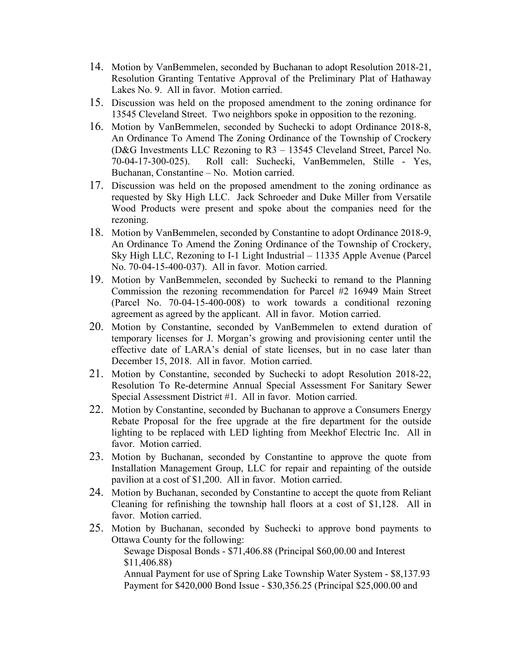- 14. Motion by VanBemmelen, seconded by Buchanan to adopt Resolution 2018-21, Resolution Granting Tentative Approval of the Preliminary Plat of Hathaway Lakes No. 9. All in favor. Motion carried.
- 15. Discussion was held on the proposed amendment to the zoning ordinance for 13545 Cleveland Street. Two neighbors spoke in opposition to the rezoning.
- 16. Motion by VanBemmelen, seconded by Suchecki to adopt Ordinance 2018-8, An Ordinance To Amend The Zoning Ordinance of the Township of Crockery (D&G Investments LLC Rezoning to R3 – 13545 Cleveland Street, Parcel No. 70-04-17-300-025). Roll call: Suchecki, VanBemmelen, Stille - Yes, Buchanan, Constantine – No. Motion carried.
- 17. Discussion was held on the proposed amendment to the zoning ordinance as requested by Sky High LLC. Jack Schroeder and Duke Miller from Versatile Wood Products were present and spoke about the companies need for the rezoning.
- 18. Motion by VanBemmelen, seconded by Constantine to adopt Ordinance 2018-9, An Ordinance To Amend the Zoning Ordinance of the Township of Crockery, Sky High LLC, Rezoning to I-1 Light Industrial – 11335 Apple Avenue (Parcel No. 70-04-15-400-037). All in favor. Motion carried.
- 19. Motion by VanBemmelen, seconded by Suchecki to remand to the Planning Commission the rezoning recommendation for Parcel #2 16949 Main Street (Parcel No. 70-04-15-400-008) to work towards a conditional rezoning agreement as agreed by the applicant. All in favor. Motion carried.
- 20. Motion by Constantine, seconded by VanBemmelen to extend duration of temporary licenses for J. Morgan's growing and provisioning center until the effective date of LARA's denial of state licenses, but in no case later than December 15, 2018. All in favor. Motion carried.
- 21. Motion by Constantine, seconded by Suchecki to adopt Resolution 2018-22, Resolution To Re-determine Annual Special Assessment For Sanitary Sewer Special Assessment District #1. All in favor. Motion carried.
- 22. Motion by Constantine, seconded by Buchanan to approve a Consumers Energy Rebate Proposal for the free upgrade at the fire department for the outside lighting to be replaced with LED lighting from Meekhof Electric Inc. All in favor. Motion carried.
- 23. Motion by Buchanan, seconded by Constantine to approve the quote from Installation Management Group, LLC for repair and repainting of the outside pavilion at a cost of \$1,200. All in favor. Motion carried.
- 24. Motion by Buchanan, seconded by Constantine to accept the quote from Reliant Cleaning for refinishing the township hall floors at a cost of \$1,128. All in favor. Motion carried.
- 25. Motion by Buchanan, seconded by Suchecki to approve bond payments to Ottawa County for the following:

 Sewage Disposal Bonds - \$71,406.88 (Principal \$60,00.00 and Interest \$11,406.88)

 Annual Payment for use of Spring Lake Township Water System - \$8,137.93 Payment for \$420,000 Bond Issue - \$30,356.25 (Principal \$25,000.00 and